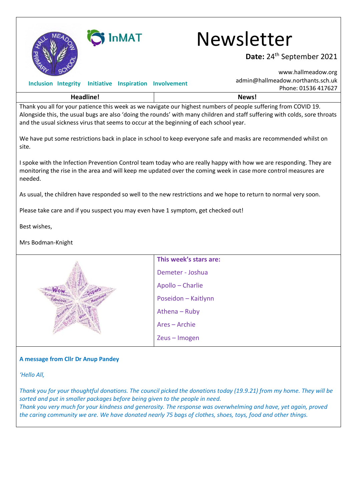

# SINMAT Newsletter

### Date: 24<sup>th</sup> September 2021

|                                                                                        |  |                        |                     | www.hallmeadow.org                                                                                                                                                                                                                            |  |
|----------------------------------------------------------------------------------------|--|------------------------|---------------------|-----------------------------------------------------------------------------------------------------------------------------------------------------------------------------------------------------------------------------------------------|--|
| Inclusion Integrity Initiative Inspiration Involvement                                 |  |                        |                     | admin@hallmeadow.northants.sch.uk<br>Phone: 01536 417627                                                                                                                                                                                      |  |
| <b>Headline!</b>                                                                       |  |                        |                     | News!                                                                                                                                                                                                                                         |  |
| and the usual sickness virus that seems to occur at the beginning of each school year. |  |                        |                     | Thank you all for your patience this week as we navigate our highest numbers of people suffering from COVID 19.<br>Alongside this, the usual bugs are also 'doing the rounds' with many children and staff suffering with colds, sore throats |  |
| site.                                                                                  |  |                        |                     | We have put some restrictions back in place in school to keep everyone safe and masks are recommended whilst on                                                                                                                               |  |
| needed.                                                                                |  |                        |                     | I spoke with the Infection Prevention Control team today who are really happy with how we are responding. They are<br>monitoring the rise in the area and will keep me updated over the coming week in case more control measures are         |  |
|                                                                                        |  |                        |                     | As usual, the children have responded so well to the new restrictions and we hope to return to normal very soon.                                                                                                                              |  |
| Please take care and if you suspect you may even have 1 symptom, get checked out!      |  |                        |                     |                                                                                                                                                                                                                                               |  |
| Best wishes,                                                                           |  |                        |                     |                                                                                                                                                                                                                                               |  |
| Mrs Bodman-Knight                                                                      |  |                        |                     |                                                                                                                                                                                                                                               |  |
|                                                                                        |  | This week's stars are: |                     |                                                                                                                                                                                                                                               |  |
|                                                                                        |  | Demeter - Joshua       |                     |                                                                                                                                                                                                                                               |  |
|                                                                                        |  |                        | Apollo - Charlie    |                                                                                                                                                                                                                                               |  |
|                                                                                        |  |                        | Poseidon - Kaitlynn |                                                                                                                                                                                                                                               |  |
|                                                                                        |  |                        | Athena - Ruby       |                                                                                                                                                                                                                                               |  |
|                                                                                        |  |                        | Ares - Archie       |                                                                                                                                                                                                                                               |  |
|                                                                                        |  |                        | Zeus-Imogen         |                                                                                                                                                                                                                                               |  |

#### **A message from Cllr Dr Anup Pandey**

*'Hello All,* 

*Thank you for your thoughtful donations. The council picked the donations today (19.9.21) from my home. They will be sorted and put in smaller packages before being given to the people in need. Thank you very much for your kindness and generosity. The response was overwhelming and have, yet again, proved the caring community we are. We have donated nearly 75 bags of clothes, shoes, toys, food and other things.*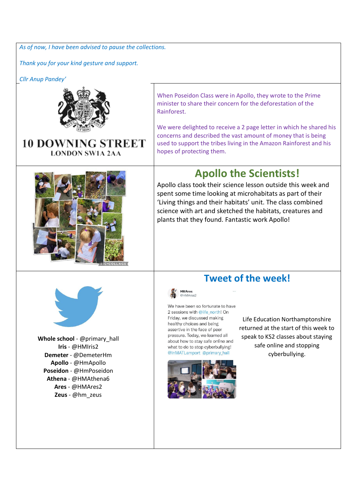*As of now, I have been advised to pause the collections.* 

*Thank you for your kind gesture and support.* 

*Cllr Anup Pandey'*



#### When Poseidon Class were in Apollo, they wrote to the Prime minister to share their concern for the deforestation of the Rainforest.

**10 DOWNING STREET LONDON SW1A 2AA** 



We were delighted to receive a 2 page letter in which he shared his concerns and described the vast amount of money that is being used to support the tribes living in the Amazon Rainforest and his hopes of protecting them.

# **Apollo the Scientists!**

Apollo class took their science lesson outside this week and spent some time looking at microhabitats as part of their 'Living things and their habitats' unit. The class combined science with art and sketched the habitats, creatures and plants that they found. Fantastic work Apollo!



**Whole school** - @primary\_hall **Iris** - @HMIris2 **Demeter** - @DemeterHm **Apollo** - @HmApollo **Poseidon** - @HmPoseidon **Athena** - @HMAthena6 **Ares** - @HMAres2 **Zeus** - @hm\_zeus

## **Tweet of the week!**



We have been so fortunate to have 2 sessions with @life\_north! On Friday, we discussed making healthy choices and being assertive in the face of peer pressure. Today, we learned all about how to stay safe online and what to do to stop cyberbullying! @InMATLamport @primary hall



Life Education Northamptonshire returned at the start of this week to speak to KS2 classes about staying safe online and stopping cyberbullying.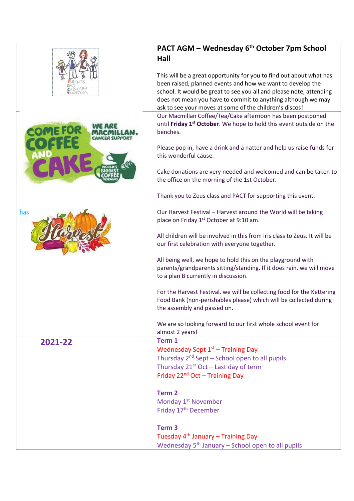|         | PACT AGM - Wednesday 6 <sup>th</sup> October 7pm School                                                                                                                                                                                                                                                                             |
|---------|-------------------------------------------------------------------------------------------------------------------------------------------------------------------------------------------------------------------------------------------------------------------------------------------------------------------------------------|
|         | Hall                                                                                                                                                                                                                                                                                                                                |
|         | This will be a great opportunity for you to find out about what has<br>been raised, planned events and how we want to develop the<br>school. It would be great to see you all and please note, attending<br>does not mean you have to commit to anything although we may<br>ask to see your moves at some of the children's discos! |
|         | Our Macmillan Coffee/Tea/Cake afternoon has been postponed<br>until Friday 1 <sup>st</sup> October. We hope to hold this event outside on the<br>benches.                                                                                                                                                                           |
|         | Please pop in, have a drink and a natter and help us raise funds for<br>this wonderful cause.                                                                                                                                                                                                                                       |
|         | Cake donations are very needed and welcomed and can be taken to<br>the office on the morning of the 1st October.                                                                                                                                                                                                                    |
|         | Thank you to Zeus class and PACT for supporting this event.                                                                                                                                                                                                                                                                         |
| has     | Our Harvest Festival - Harvest around the World will be taking<br>place on Friday 1 <sup>st</sup> October at 9:10 am.                                                                                                                                                                                                               |
|         | All children will be involved in this from Iris class to Zeus. It will be<br>our first celebration with everyone together.                                                                                                                                                                                                          |
|         | All being well, we hope to hold this on the playground with<br>parents/grandparents sitting/standing. If it does rain, we will move<br>to a plan B currently in discussion.                                                                                                                                                         |
|         | For the Harvest Festival, we will be collecting food for the Kettering<br>Food Bank (non-perishables please) which will be collected during<br>the assembly and passed on.                                                                                                                                                          |
|         | We are so looking forward to our first whole school event for<br>almost 2 years!                                                                                                                                                                                                                                                    |
| 2021-22 | Term 1<br>Wednesday Sept 1 <sup>st</sup> - Training Day<br>Thursday 2 <sup>nd</sup> Sept – School open to all pupils<br>Thursday $21^{st}$ Oct – Last day of term<br>Friday 22 <sup>nd</sup> Oct - Training Day                                                                                                                     |
|         | Term <sub>2</sub><br>Monday 1 <sup>st</sup> November<br>Friday 17 <sup>th</sup> December                                                                                                                                                                                                                                            |
|         | Term <sub>3</sub><br>Tuesday 4 <sup>th</sup> January - Training Day<br>Wednesday $5th$ January – School open to all pupils                                                                                                                                                                                                          |